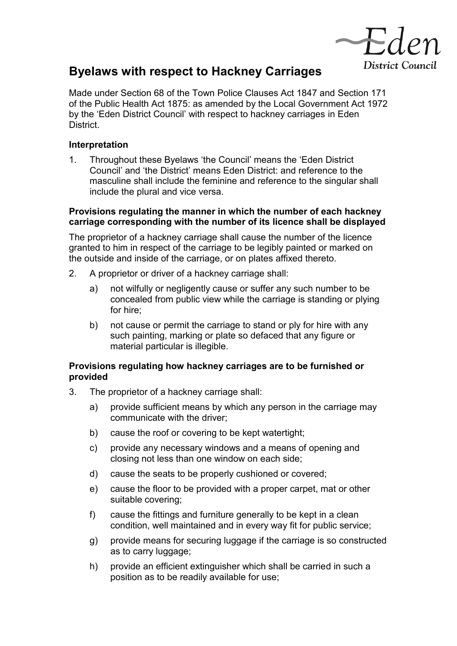

# **Byelaws with respect to Hackney Carriages**

Made under Section 68 of the Town Police Clauses Act 1847 and Section 171 of the Public Health Act 1875: as amended by the Local Government Act 1972 by the 'Eden District Council' with respect to hackney carriages in Eden District.

# **Interpretation**

1. Throughout these Byelaws 'the Council' means the 'Eden District Council' and 'the District' means Eden District: and reference to the masculine shall include the feminine and reference to the singular shall include the plural and vice versa.

## **Provisions regulating the manner in which the number of each hackney carriage corresponding with the number of its licence shall be displayed**

The proprietor of a hackney carriage shall cause the number of the licence granted to him in respect of the carriage to be legibly painted or marked on the outside and inside of the carriage, or on plates affixed thereto.

- 2. A proprietor or driver of a hackney carriage shall:
	- a) not wilfully or negligently cause or suffer any such number to be concealed from public view while the carriage is standing or plying for hire;
	- b) not cause or permit the carriage to stand or ply for hire with any such painting, marking or plate so defaced that any figure or material particular is illegible.

# **Provisions regulating how hackney carriages are to be furnished or provided**

- 3. The proprietor of a hackney carriage shall:
	- a) provide sufficient means by which any person in the carriage may communicate with the driver;
	- b) cause the roof or covering to be kept watertight;
	- c) provide any necessary windows and a means of opening and closing not less than one window on each side;
	- d) cause the seats to be properly cushioned or covered;
	- e) cause the floor to be provided with a proper carpet, mat or other suitable covering;
	- f) cause the fittings and furniture generally to be kept in a clean condition, well maintained and in every way fit for public service;
	- g) provide means for securing luggage if the carriage is so constructed as to carry luggage;
	- h) provide an efficient extinguisher which shall be carried in such a position as to be readily available for use;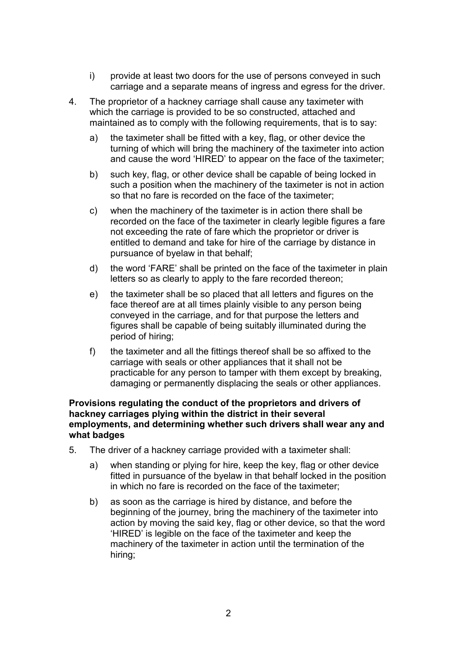- i) provide at least two doors for the use of persons conveyed in such carriage and a separate means of ingress and egress for the driver.
- 4. The proprietor of a hackney carriage shall cause any taximeter with which the carriage is provided to be so constructed, attached and maintained as to comply with the following requirements, that is to say:
	- a) the taximeter shall be fitted with a key, flag, or other device the turning of which will bring the machinery of the taximeter into action and cause the word 'HIRED' to appear on the face of the taximeter;
	- b) such key, flag, or other device shall be capable of being locked in such a position when the machinery of the taximeter is not in action so that no fare is recorded on the face of the taximeter;
	- c) when the machinery of the taximeter is in action there shall be recorded on the face of the taximeter in clearly legible figures a fare not exceeding the rate of fare which the proprietor or driver is entitled to demand and take for hire of the carriage by distance in pursuance of byelaw in that behalf;
	- d) the word 'FARE' shall be printed on the face of the taximeter in plain letters so as clearly to apply to the fare recorded thereon;
	- e) the taximeter shall be so placed that all letters and figures on the face thereof are at all times plainly visible to any person being conveyed in the carriage, and for that purpose the letters and figures shall be capable of being suitably illuminated during the period of hiring;
	- f) the taximeter and all the fittings thereof shall be so affixed to the carriage with seals or other appliances that it shall not be practicable for any person to tamper with them except by breaking, damaging or permanently displacing the seals or other appliances.

#### **Provisions regulating the conduct of the proprietors and drivers of hackney carriages plying within the district in their several employments, and determining whether such drivers shall wear any and what badges**

- 5. The driver of a hackney carriage provided with a taximeter shall:
	- a) when standing or plying for hire, keep the key, flag or other device fitted in pursuance of the byelaw in that behalf locked in the position in which no fare is recorded on the face of the taximeter;
	- b) as soon as the carriage is hired by distance, and before the beginning of the journey, bring the machinery of the taximeter into action by moving the said key, flag or other device, so that the word 'HIRED' is legible on the face of the taximeter and keep the machinery of the taximeter in action until the termination of the hiring;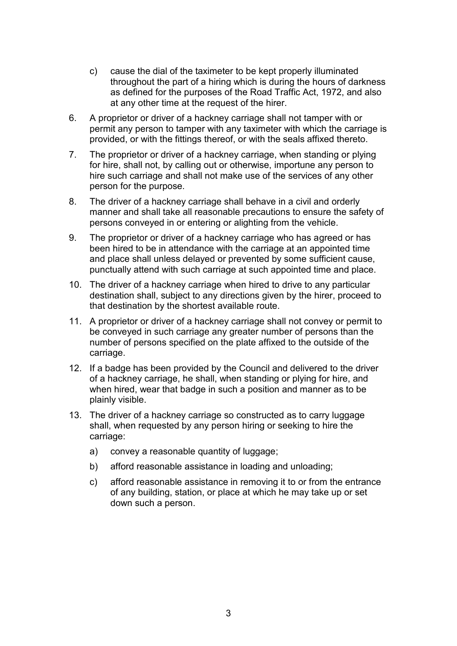- c) cause the dial of the taximeter to be kept properly illuminated throughout the part of a hiring which is during the hours of darkness as defined for the purposes of the Road Traffic Act, 1972, and also at any other time at the request of the hirer.
- 6. A proprietor or driver of a hackney carriage shall not tamper with or permit any person to tamper with any taximeter with which the carriage is provided, or with the fittings thereof, or with the seals affixed thereto.
- 7. The proprietor or driver of a hackney carriage, when standing or plying for hire, shall not, by calling out or otherwise, importune any person to hire such carriage and shall not make use of the services of any other person for the purpose.
- 8. The driver of a hackney carriage shall behave in a civil and orderly manner and shall take all reasonable precautions to ensure the safety of persons conveyed in or entering or alighting from the vehicle.
- 9. The proprietor or driver of a hackney carriage who has agreed or has been hired to be in attendance with the carriage at an appointed time and place shall unless delayed or prevented by some sufficient cause, punctually attend with such carriage at such appointed time and place.
- 10. The driver of a hackney carriage when hired to drive to any particular destination shall, subject to any directions given by the hirer, proceed to that destination by the shortest available route.
- 11. A proprietor or driver of a hackney carriage shall not convey or permit to be conveyed in such carriage any greater number of persons than the number of persons specified on the plate affixed to the outside of the carriage.
- 12. If a badge has been provided by the Council and delivered to the driver of a hackney carriage, he shall, when standing or plying for hire, and when hired, wear that badge in such a position and manner as to be plainly visible.
- 13. The driver of a hackney carriage so constructed as to carry luggage shall, when requested by any person hiring or seeking to hire the carriage:
	- a) convey a reasonable quantity of luggage:
	- b) afford reasonable assistance in loading and unloading;
	- c) afford reasonable assistance in removing it to or from the entrance of any building, station, or place at which he may take up or set down such a person.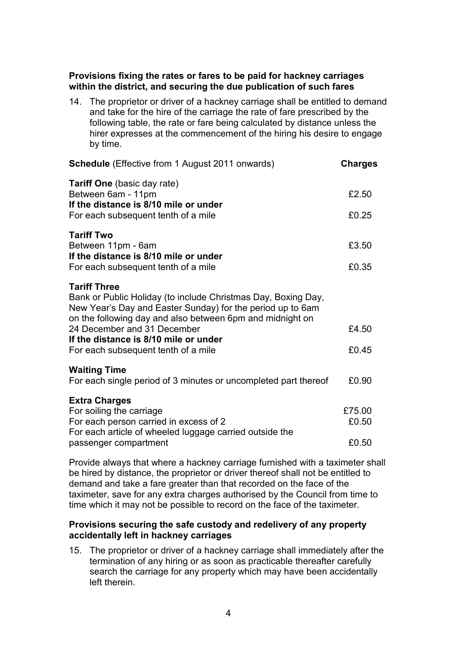## **Provisions fixing the rates or fares to be paid for hackney carriages within the district, and securing the due publication of such fares**

14. The proprietor or driver of a hackney carriage shall be entitled to demand and take for the hire of the carriage the rate of fare prescribed by the following table, the rate or fare being calculated by distance unless the hirer expresses at the commencement of the hiring his desire to engage by time.

| <b>Schedule</b> (Effective from 1 August 2011 onwards)                                                                                                                                                          | Charges |
|-----------------------------------------------------------------------------------------------------------------------------------------------------------------------------------------------------------------|---------|
| <b>Tariff One</b> (basic day rate)<br>Between 6am - 11pm<br>If the distance is 8/10 mile or under                                                                                                               | £2.50   |
| For each subsequent tenth of a mile                                                                                                                                                                             | £0.25   |
| <b>Tariff Two</b><br>Between 11pm - 6am<br>If the distance is 8/10 mile or under                                                                                                                                | £3.50   |
| For each subsequent tenth of a mile                                                                                                                                                                             | £0.35   |
| <b>Tariff Three</b><br>Bank or Public Holiday (to include Christmas Day, Boxing Day,<br>New Year's Day and Easter Sunday) for the period up to 6am<br>on the following day and also between 6pm and midnight on |         |
| 24 December and 31 December<br>If the distance is 8/10 mile or under                                                                                                                                            | £4.50   |
| For each subsequent tenth of a mile                                                                                                                                                                             | £0.45   |
| <b>Waiting Time</b><br>For each single period of 3 minutes or uncompleted part thereof                                                                                                                          | £0.90   |
|                                                                                                                                                                                                                 |         |
| <b>Extra Charges</b><br>For soiling the carriage                                                                                                                                                                | £75.00  |
| For each person carried in excess of 2<br>For each article of wheeled luggage carried outside the                                                                                                               | £0.50   |
| passenger compartment                                                                                                                                                                                           | £0.50   |

Provide always that where a hackney carriage furnished with a taximeter shall be hired by distance, the proprietor or driver thereof shall not be entitled to demand and take a fare greater than that recorded on the face of the taximeter, save for any extra charges authorised by the Council from time to time which it may not be possible to record on the face of the taximeter.

#### **Provisions securing the safe custody and redelivery of any property accidentally left in hackney carriages**

15. The proprietor or driver of a hackney carriage shall immediately after the termination of any hiring or as soon as practicable thereafter carefully search the carriage for any property which may have been accidentally left therein.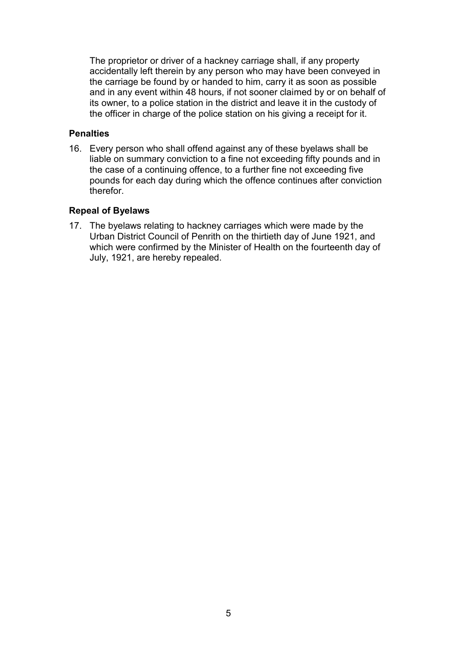The proprietor or driver of a hackney carriage shall, if any property accidentally left therein by any person who may have been conveyed in the carriage be found by or handed to him, carry it as soon as possible and in any event within 48 hours, if not sooner claimed by or on behalf of its owner, to a police station in the district and leave it in the custody of the officer in charge of the police station on his giving a receipt for it.

#### **Penalties**

16. Every person who shall offend against any of these byelaws shall be liable on summary conviction to a fine not exceeding fifty pounds and in the case of a continuing offence, to a further fine not exceeding five pounds for each day during which the offence continues after conviction therefor.

# **Repeal of Byelaws**

17. The byelaws relating to hackney carriages which were made by the Urban District Council of Penrith on the thirtieth day of June 1921, and which were confirmed by the Minister of Health on the fourteenth day of July, 1921, are hereby repealed.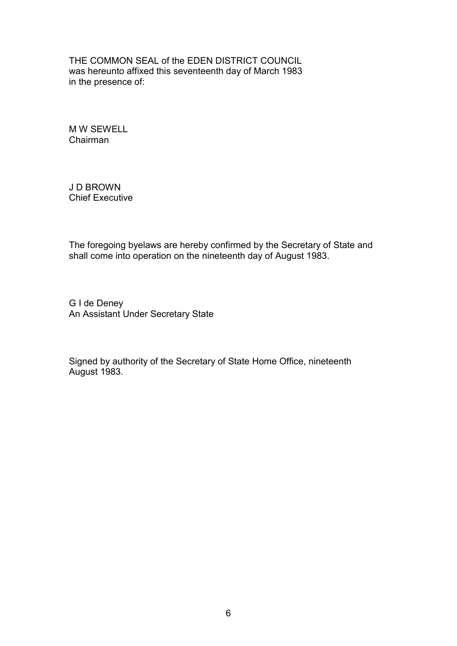THE COMMON SEAL of the EDEN DISTRICT COUNCIL was hereunto affixed this seventeenth day of March 1983 in the presence of:

M W SEWELL Chairman

J D BROWN Chief Executive

The foregoing byelaws are hereby confirmed by the Secretary of State and shall come into operation on the nineteenth day of August 1983.

G I de Deney An Assistant Under Secretary State

Signed by authority of the Secretary of State Home Office, nineteenth August 1983.